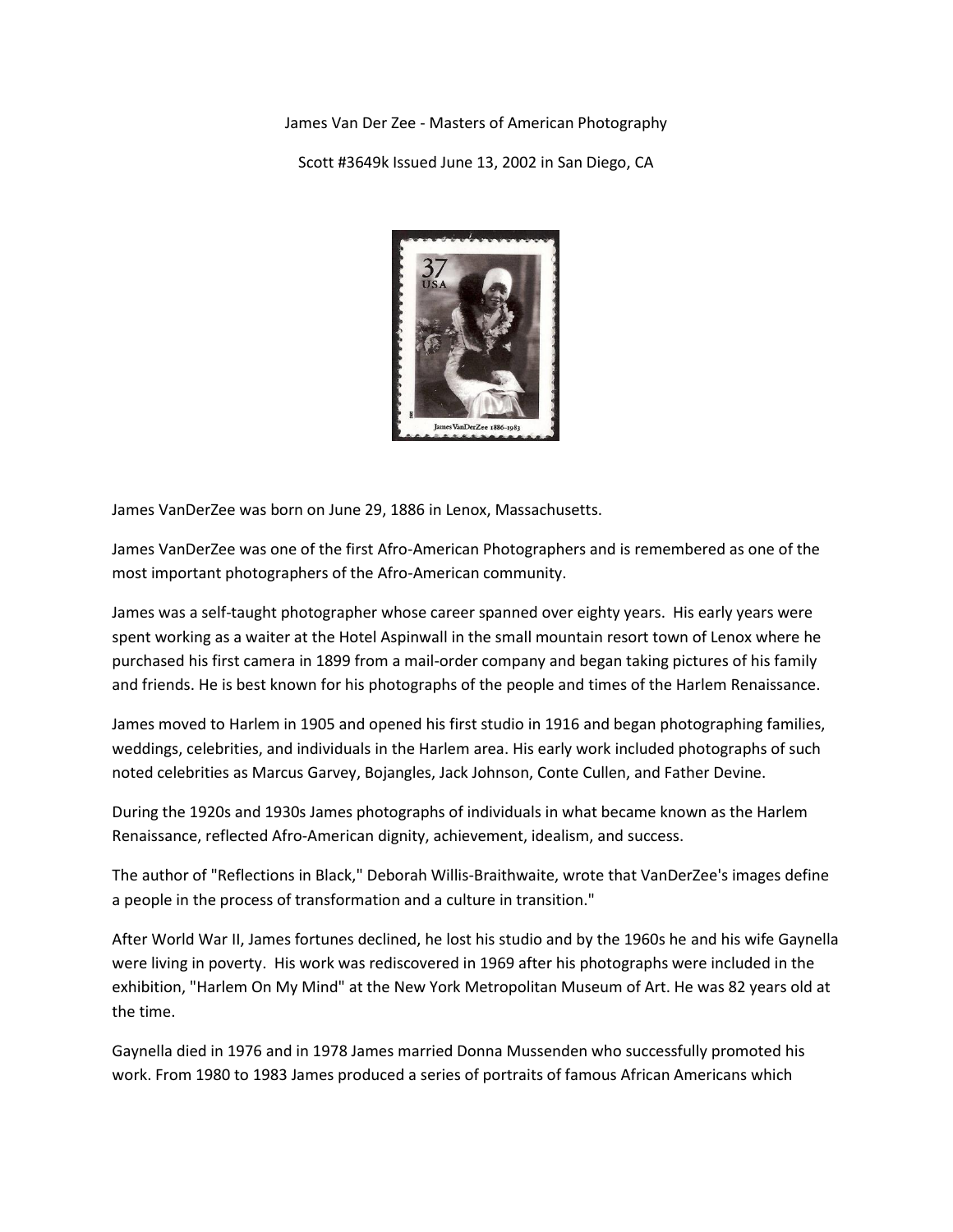James Van Der Zee - Masters of American Photography

Scott #3649k Issued June 13, 2002 in San Diego, CA



James VanDerZee was born on June 29, 1886 in Lenox, Massachusetts.

James VanDerZee was one of the first Afro-American Photographers and is remembered as one of the most important photographers of the Afro-American community.

James was a self-taught photographer whose career spanned over eighty years. His early years were spent working as a waiter at the Hotel Aspinwall in the small mountain resort town of Lenox where he purchased his first camera in 1899 from a mail-order company and began taking pictures of his family and friends. He is best known for his photographs of the people and times of the Harlem Renaissance.

James moved to Harlem in 1905 and opened his first studio in 1916 and began photographing families, weddings, celebrities, and individuals in the Harlem area. His early work included photographs of such noted celebrities as Marcus Garvey, Bojangles, Jack Johnson, Conte Cullen, and Father Devine.

During the 1920s and 1930s James photographs of individuals in what became known as the Harlem Renaissance, reflected Afro-American dignity, achievement, idealism, and success.

The author of "Reflections in Black," Deborah Willis-Braithwaite, wrote that VanDerZee's images define a people in the process of transformation and a culture in transition."

After World War II, James fortunes declined, he lost his studio and by the 1960s he and his wife Gaynella were living in poverty. His work was rediscovered in 1969 after his photographs were included in the exhibition, "Harlem On My Mind" at the New York Metropolitan Museum of Art. He was 82 years old at the time.

Gaynella died in 1976 and in 1978 James married Donna Mussenden who successfully promoted his work. From 1980 to 1983 James produced a series of portraits of famous African Americans which